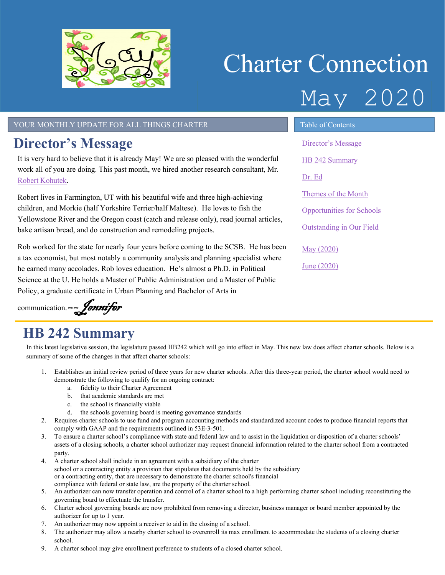

# Charter Connection May 2020

#### YOUR MONTHLY UPDATE FOR ALL THINGS CHARTER TABLE OF Contents

# <span id="page-0-0"></span>**Director's Message**

It is very hard to believe that it is already May! We are so pleased with the wonderful work all of you are doing. This past month, we hired another research consultant, Mr. Robert [Kohutek.](https://www.utahscsb.org/scsb-staff)

Robert lives in Farmington, UT with his beautiful wife and three high-achieving children, and Morkie (half Yorkshire Terrier/half Maltese). He loves to fish the Yellowstone River and the Oregon coast (catch and release only), read journal articles, bake artisan bread, and do construction and remodeling projects.

Rob worked for the state for nearly four years before coming to the SCSB. He has been a tax economist, but most notably a community analysis and planning specialist where he earned many accolades. Rob loves education. He's almost a Ph.D. in Political Science at the U. He holds a Master of Public Administration and a Master of Public Policy, a graduate certificate in Urban Planning and Bachelor of Arts in

communication. -- *Jennifer* 

# <span id="page-0-1"></span>**HB 242 Summary**

In this latest legislative session, the legislature passed HB242 which will go into effect in May. This new law does affect charter schools. Below is a summary of some of the changes in that affect charter schools:

- 1. Establishes an initial review period of three years for new charter schools. After this three-year period, the charter school would need to demonstrate the following to qualify for an ongoing contract:
	- a. fidelity to their Charter Agreement
	- b. that academic standards are met
	- c. the school is financially viable
	- d. the schools governing board is meeting governance standards
- 2. Requires charter schools to use fund and program accounting methods and standardized account codes to produce financial reports that comply with GAAP and the requirements outlined in 53E-3-501.
- 3. To ensure a charter school's compliance with state and federal law and to assist in the liquidation or disposition of a charter schools' assets of a closing schools, a charter school authorizer may request financial information related to the charter school from a contracted party.
- 4. A charter school shall include in an agreement with a subsidiary of the charter school or a contracting entity a provision that stipulates that documents held by the subsidiary or a contracting entity, that are necessary to demonstrate the charter school's financial compliance with federal or state law, are the property of the charter school.
- 5. An authorizer can now transfer operation and control of a charter school to a high performing charter school including reconstituting the governing board to effectuate the transfer.
- 6. Charter school governing boards are now prohibited from removing a director, business manager or board member appointed by the authorizer for up to 1 year.
- 7. An authorizer may now appoint a receiver to aid in the closing of a school.
- 8. The authorizer may allow a nearby charter school to overenroll its max enrollment to accommodate the students of a closing charter school.
- 9. A charter school may give enrollment preference to students of a closed charter school.

[Director's Message](#page-0-0) [HB 242 Summary](#page-0-1) [Dr. Ed](#page-1-0) Themes of the Month [Opportunities for Schools](#page-2-0)  [Outstanding in Our Field](#page-2-1) May [\(2020\)](#page-3-0)

June [\(2020\)](#page-3-1)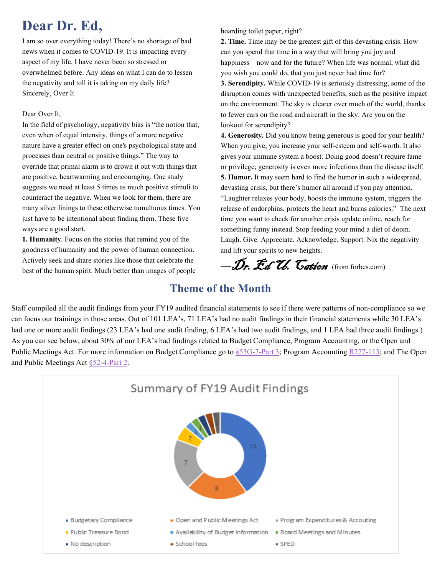# <span id="page-1-0"></span>**Dear Dr. Ed,**

I am so over everything today! There's no shortage of bad news when it comes to COVID-19. It is impacting every aspect of my life. I have never been so stressed or overwhelmed before. Any ideas on what I can do to lessen the negativity and toll it is taking on my daily life? Sincerely, Over It

#### Dear Over It,

In the field of psychology, negativity bias is "the notion that, even when of equal intensity, things of a more negative nature have a greater effect on one's psychological state and processes than neutral or positive things." The way to override that primal alarm is to drown it out with things that are positive, heartwarming and encouraging. One study suggests we need at least 5 times as much positive stimuli to counteract the negative. When we look for them, there are many silver linings to these otherwise tumultuous times. You just have to be intentional about finding them. These five ways are a good start.

**1. Humanity**. Focus on the stories that remind you of the goodness of humanity and the power of human connection. Actively seek and share stories like those that celebrate the best of the human spirit. Much better than images of people hoarding toilet paper, right?

**2. Time.** Time may be the greatest gift of this devasting crisis. How can you spend that time in a way that will bring you joy and happiness—now and for the future? When life was normal, what did you wish you could do, that you just never had time for? **3. Serendipity.** While COVID-19 is seriously distressing, some of the disruption comes with unexpected benefits, such as the positive impact on the environment. The sky is clearer over much of the world, thanks to fewer cars on the road and aircraft in the sky. Are you on the lookout for serendipity?

**4. Generosity.** Did you know being generous is good for your health? When you give, you increase your self-esteem and self-worth. It also gives your immune system a boost. Doing good doesn't require fame or privilege; generosity is even more infectious than the disease itself. **5. Humor.** It may seem hard to find the humor in such a widespread, devasting crisis, but there's humor all around if you pay attention. "Laughter relaxes your body, boosts the immune system, triggers the release of endorphins, protects the heart and burns calories." The next time you want to check for another crisis update online, reach for something funny instead. Stop feeding your mind a diet of doom. Laugh. Give. Appreciate. Acknowledge. Support. Nix the negativity and lift your spirits to new heights.

*––*Dr. Ed U. Cation (from forbes.com)

### **Theme of the Month**

Staff compiled all the audit findings from your FY19 audited financial statements to see if there were patterns of non-compliance so we can focus our trainings in those areas. Out of 101 LEA's, 71 LEA's had no audit findings in their financial statements while 30 LEA's had one or more audit findings (23 LEA's had one audit finding, 6 LEA's had two audit findings, and 1 LEA had three audit findings.) As you can see below, about 30% of our LEA's had findings related to Budget Compliance, Program Accounting, or the Open and Public Meetings Act. For more information on Budget Compliance go to [§53G-7-Part 3;](https://le.utah.gov/xcode/Title53G/Chapter7/53G-7-P3.html?v=C53G-7-P3_2018012420180124) Program Accounting [R277-113;](https://rules.utah.gov/publicat/code/r277/r277-113.htm) and The Open and Public Meetings Act [§52-4-Part 2.](https://le.utah.gov/xcode/Title52/Chapter4/52-4-P2.html?v=C52-4-P2_1800010118000101)

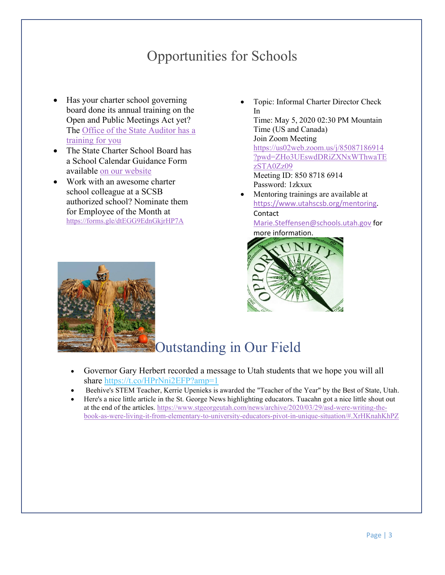# Opportunities for Schools

- <span id="page-2-0"></span>• Has your charter school governing board done its annual training on the Open and Public Meetings Act yet? The Office of the State Auditor has a [training for you](http://training.auditor.utah.gov/courses/open-and-public-meetings-act-2019)
- The State Charter School Board has a School Calendar Guidance Form available [on our website](https://www.utahscsb.org/general)
- <span id="page-2-1"></span>• Work with an awesome charter school colleague at a SCSB authorized school? Nominate them for Employee of the Month at <https://forms.gle/dtEGG9EdnGkjrHP7A>
- Topic: Informal Charter Director Check In Time: May 5, 2020 02:30 PM Mountain Time (US and Canada) Join Zoom Meeting [https://us02web.zoom.us/j/85087186914](https://us02web.zoom.us/j/85087186914?pwd=ZHo3UEswdDRiZXNxWThwaTEzSTA0Zz09) [?pwd=ZHo3UEswdDRiZXNxWThwaTE](https://us02web.zoom.us/j/85087186914?pwd=ZHo3UEswdDRiZXNxWThwaTEzSTA0Zz09) [zSTA0Zz09](https://us02web.zoom.us/j/85087186914?pwd=ZHo3UEswdDRiZXNxWThwaTEzSTA0Zz09) Meeting ID: 850 8718 6914 Password: 1zkxux • Mentoring trainings are available at
- [https://www.utahscsb.org/mentoring.](https://www.utahscsb.org/mentoring) Contact [Marie.Steffensen@schools.utah.gov](mailto:Marie.Steffensen@schools.utah.gov) for more information.



# Outstanding in Our Field

- Governor Gary Herbert recorded a message to Utah students that we hope you will all share<https://t.co/HPrNni2EFP?amp=1>
- Beehive's STEM Teacher, Kerrie Upenieks is awarded the "Teacher of the Year" by the Best of State, Utah.
- Here's a nice little article in the St. George News highlighting educators. Tuacahn got a nice little shout out at the end of the articles. [https://www.stgeorgeutah.com/news/archive/2020/03/29/asd-were-writing-the](https://www.stgeorgeutah.com/news/archive/2020/03/29/asd-were-writing-the-book-as-were-living-it-from-elementary-to-university-educators-pivot-in-unique-situation/#.XrHKnahKhPZ)[book-as-were-living-it-from-elementary-to-university-educators-pivot-in-unique-situation/#.XrHKnahKhPZ](https://www.stgeorgeutah.com/news/archive/2020/03/29/asd-were-writing-the-book-as-were-living-it-from-elementary-to-university-educators-pivot-in-unique-situation/#.XrHKnahKhPZ)